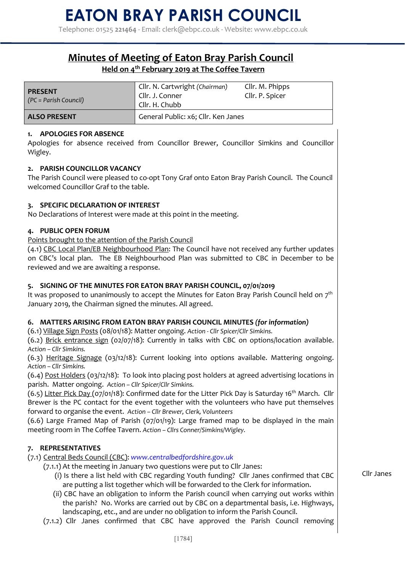Telephone: 01525 **221464** - Email: clerk@ebpc.co.uk - Website: www.ebpc.co.uk

# **Minutes of Meeting of Eaton Bray Parish Council Held on 4th February 2019 at The Coffee Tavern**

| <b>PRESENT</b><br>(PC = Parish Council) | Cllr. N. Cartwright (Chairman)<br>Cllr. J. Conner<br>Cllr. H. Chubb | Cllr. M. Phipps<br>Cllr. P. Spicer |
|-----------------------------------------|---------------------------------------------------------------------|------------------------------------|
| <b>ALSO PRESENT</b>                     | General Public: x6; Cllr. Ken Janes                                 |                                    |

### **1. APOLOGIES FOR ABSENCE**

Apologies for absence received from Councillor Brewer, Councillor Simkins and Councillor Wigley.

### **2. PARISH COUNCILLOR VACANCY**

The Parish Council were pleased to co-opt Tony Graf onto Eaton Bray Parish Council. The Council welcomed Councillor Graf to the table.

## **3. SPECIFIC DECLARATION OF INTEREST**

No Declarations of Interest were made at this point in the meeting.

### **4. PUBLIC OPEN FORUM**

Points brought to the attention of the Parish Council

(4.1) CBC Local Plan/EB Neighbourhood Plan: The Council have not received any further updates on CBC's local plan. The EB Neighbourhood Plan was submitted to CBC in December to be reviewed and we are awaiting a response.

## **5. SIGNING OF THE MINUTES FOR EATON BRAY PARISH COUNCIL, 07/01/2019**

It was proposed to unanimously to accept the Minutes for Eaton Bray Parish Council held on  $7<sup>th</sup>$ January 2019, the Chairman signed the minutes. All agreed.

## **6. MATTERS ARISING FROM EATON BRAY PARISH COUNCIL MINUTES** *(for information)*

(6.1) Village Sign Posts (08/01/18): Matter ongoing. *Action - Cllr Spicer/Cllr Simkins.*

(6.2) Brick entrance sign (02/07/18): Currently in talks with CBC on options/location available. *Action – Cllr Simkins.* 

(6.3) Heritage Signage (03/12/18): Current looking into options available. Mattering ongoing. *Action – Cllr Simkins.* 

(6.4) Post Holders (03/12/18): To look into placing post holders at agreed advertising locations in parish. Matter ongoing. *Action – Cllr Spicer/Cllr Simkins.* 

(6.5) Litter Pick Day (07/01/18): Confirmed date for the Litter Pick Day is Saturday 16<sup>th</sup> March. Cllr Brewer is the PC contact for the event together with the volunteers who have put themselves forward to organise the event. *Action – Cllr Brewer, Clerk, Volunteers* 

(6.6) Large Framed Map of Parish (07/01/19): Large framed map to be displayed in the main meeting room in The Coffee Tavern. *Action – Cllrs Conner/Simkins/Wigley.*

## **7. REPRESENTATIVES**

(7.1) Central Beds Council (CBC): *www.centralbedfordshire.gov.uk* 

(7.1.1) At the meeting in January two questions were put to Cllr Janes:

- (i) Is there a list held with CBC regarding Youth funding? Cllr Janes confirmed that CBC are putting a list together which will be forwarded to the Clerk for information.
- (ii) CBC have an obligation to inform the Parish council when carrying out works within the parish? No. Works are carried out by CBC on a departmental basis, i.e. Highways, landscaping, etc., and are under no obligation to inform the Parish Council.
- (7.1.2) Cllr Janes confirmed that CBC have approved the Parish Council removing

Cllr Janes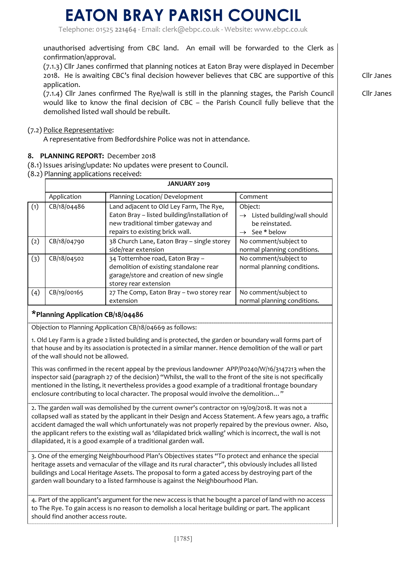Telephone: 01525 **221464** - Email: clerk@ebpc.co.uk - Website: www.ebpc.co.uk

unauthorised advertising from CBC land. An email will be forwarded to the Clerk as confirmation/approval.

(7.1.3) Cllr Janes confirmed that planning notices at Eaton Bray were displayed in December 2018. He is awaiting CBC's final decision however believes that CBC are supportive of this application.

(7.1.4) Cllr Janes confirmed The Rye/wall is still in the planning stages, the Parish Council would like to know the final decision of CBC – the Parish Council fully believe that the demolished listed wall should be rebuilt.

#### (7.2) Police Representative:

A representative from Bedfordshire Police was not in attendance.

#### **8. PLANNING REPORT:** December 2018

- (8.1) Issues arising/update: No updates were present to Council.
- (8.2) Planning applications received:

|     | <b>JANUARY 2019</b> |                                                                                                                                                                  |                                                                                                        |  |
|-----|---------------------|------------------------------------------------------------------------------------------------------------------------------------------------------------------|--------------------------------------------------------------------------------------------------------|--|
|     | Application         | Planning Location/ Development                                                                                                                                   | Comment                                                                                                |  |
| (1) | CB/18/04486         | Land adjacent to Old Ley Farm, The Rye,<br>Eaton Bray - listed building/installation of<br>new traditional timber gateway and<br>repairs to existing brick wall. | Object:<br>Listed building/wall should<br>$\rightarrow$<br>be reinstated.<br>$\rightarrow$ See * below |  |
| (2) | CB/18/04790         | 38 Church Lane, Eaton Bray - single storey<br>side/rear extension                                                                                                | No comment/subject to<br>normal planning conditions.                                                   |  |
| (3) | CB/18/04502         | 34 Totternhoe road, Eaton Bray -<br>demolition of existing standalone rear<br>garage/store and creation of new single<br>storey rear extension                   | No comment/subject to<br>normal planning conditions.                                                   |  |
| (4) | CB/19/00165         | 27 The Comp, Eaton Bray - two storey rear<br>extension                                                                                                           | No comment/subject to<br>normal planning conditions.                                                   |  |

### **\*Planning Application CB/18/04486**

Objection to Planning Application CB/18/04669 as follows:

1. Old Ley Farm is a grade 2 listed building and is protected, the garden or boundary wall forms part of that house and by its association is protected in a similar manner. Hence demolition of the wall or part of the wall should not be allowed.

This was confirmed in the recent appeal by the previous landowner APP/P0240/W/16/3147213 when the inspector said (paragraph 27 of the decision) "Whilst, the wall to the front of the site is not specifically mentioned in the listing, it nevertheless provides a good example of a traditional frontage boundary enclosure contributing to local character. The proposal would involve the demolition…"

2. The garden wall was demolished by the current owner's contractor on 19/09/2018. It was not a collapsed wall as stated by the applicant in their Design and Access Statement. A few years ago, a traffic accident damaged the wall which unfortunately was not properly repaired by the previous owner. Also, the applicant refers to the existing wall as 'dilapidated brick walling' which is incorrect, the wall is not dilapidated, it is a good example of a traditional garden wall.

3. One of the emerging Neighbourhood Plan's Objectives states "To protect and enhance the special heritage assets and vernacular of the village and its rural character", this obviously includes all listed buildings and Local Heritage Assets. The proposal to form a gated access by destroying part of the garden wall boundary to a listed farmhouse is against the Neighbourhood Plan.

4. Part of the applicant's argument for the new access is that he bought a parcel of land with no access to The Rye. To gain access is no reason to demolish a local heritage building or part. The applicant should find another access route.

Cllr Janes

Cllr Janes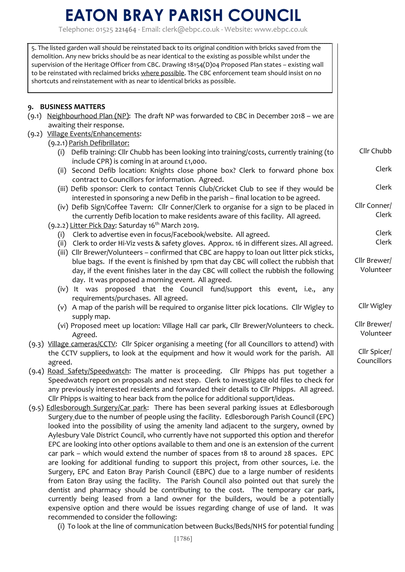Telephone: 01525 **221464** - Email: clerk@ebpc.co.uk - Website: www.ebpc.co.uk

| 5. The listed garden wall should be reinstated back to its original condition with bricks saved from the<br>demolition. Any new bricks should be as near identical to the existing as possible whilst under the<br>supervision of the Heritage Officer from CBC. Drawing 18154(D)04 Proposed Plan states - existing wall<br>to be reinstated with reclaimed bricks where possible. The CBC enforcement team should insist on no<br>shortcuts and reinstatement with as near to identical bricks as possible. |                             |
|--------------------------------------------------------------------------------------------------------------------------------------------------------------------------------------------------------------------------------------------------------------------------------------------------------------------------------------------------------------------------------------------------------------------------------------------------------------------------------------------------------------|-----------------------------|
| 9. BUSINESS MATTERS<br>(9.1) Neighbourhood Plan (NP): The draft NP was forwarded to CBC in December 2018 – we are<br>awaiting their response.                                                                                                                                                                                                                                                                                                                                                                |                             |
| (9.2) Village Events/Enhancements:                                                                                                                                                                                                                                                                                                                                                                                                                                                                           |                             |
| (9.2.1) Parish Defibrillator:<br>(i) Defib training: Cllr Chubb has been looking into training/costs, currently training (to<br>include CPR) is coming in at around £1,000.                                                                                                                                                                                                                                                                                                                                  | Cllr Chubb                  |
| (ii) Second Defib location: Knights close phone box? Clerk to forward phone box<br>contract to Councillors for information. Agreed.                                                                                                                                                                                                                                                                                                                                                                          | Clerk                       |
| (iii) Defib sponsor: Clerk to contact Tennis Club/Cricket Club to see if they would be<br>interested in sponsoring a new Defib in the parish - final location to be agreed.                                                                                                                                                                                                                                                                                                                                  | Clerk                       |
| (iv) Defib Sign/Coffee Tavern: Cllr Conner/Clerk to organise for a sign to be placed in<br>the currently Defib location to make residents aware of this facility. All agreed.                                                                                                                                                                                                                                                                                                                                | Cllr Conner/<br>Clerk       |
| (9.2.2) Litter Pick Day: Saturday 16 <sup>th</sup> March 2019.<br>Clerk to advertise even in focus/Facebook/website. All agreed.<br>(i)                                                                                                                                                                                                                                                                                                                                                                      | Clerk                       |
| (ii) Clerk to order Hi-Viz vests & safety gloves. Approx. 16 in different sizes. All agreed.                                                                                                                                                                                                                                                                                                                                                                                                                 | Clerk                       |
| (iii) Cllr Brewer/Volunteers - confirmed that CBC are happy to loan out litter pick sticks,                                                                                                                                                                                                                                                                                                                                                                                                                  |                             |
| blue bags. If the event is finished by 1pm that day CBC will collect the rubbish that                                                                                                                                                                                                                                                                                                                                                                                                                        | Cllr Brewer/                |
| day, if the event finishes later in the day CBC will collect the rubbish the following                                                                                                                                                                                                                                                                                                                                                                                                                       | Volunteer                   |
| day. It was proposed a morning event. All agreed.<br>(iv) It was proposed that the Council fund/support this event, i.e., any                                                                                                                                                                                                                                                                                                                                                                                |                             |
| requirements/purchases. All agreed.                                                                                                                                                                                                                                                                                                                                                                                                                                                                          |                             |
| (v) A map of the parish will be required to organise litter pick locations. Cllr Wigley to<br>supply map.                                                                                                                                                                                                                                                                                                                                                                                                    | Cllr Wigley                 |
| (vi) Proposed meet up location: Village Hall car park, Cllr Brewer/Volunteers to check.<br>Agreed.                                                                                                                                                                                                                                                                                                                                                                                                           | Cllr Brewer/<br>Volunteer   |
| (9.3) Village cameras/CCTV: Cllr Spicer organising a meeting (for all Councillors to attend) with                                                                                                                                                                                                                                                                                                                                                                                                            |                             |
| the CCTV suppliers, to look at the equipment and how it would work for the parish. All<br>agreed.                                                                                                                                                                                                                                                                                                                                                                                                            | Cllr Spicer/<br>Councillors |
| (9.4) Road Safety/Speedwatch: The matter is proceeding. Cllr Phipps has put together a                                                                                                                                                                                                                                                                                                                                                                                                                       |                             |
| Speedwatch report on proposals and next step. Clerk to investigate old files to check for<br>any previously interested residents and forwarded their details to Cllr Phipps. All agreed.                                                                                                                                                                                                                                                                                                                     |                             |
| Cllr Phipps is waiting to hear back from the police for additional support/ideas.                                                                                                                                                                                                                                                                                                                                                                                                                            |                             |
| (9.5) Edlesborough Surgery/Car park: There has been several parking issues at Edlesborough                                                                                                                                                                                                                                                                                                                                                                                                                   |                             |
| Surgery due to the number of people using the facility. Edlesborough Parish Council (EPC)                                                                                                                                                                                                                                                                                                                                                                                                                    |                             |
| looked into the possibility of using the amenity land adjacent to the surgery, owned by                                                                                                                                                                                                                                                                                                                                                                                                                      |                             |
| Aylesbury Vale District Council, who currently have not supported this option and therefor<br>EPC are looking into other options available to them and one is an extension of the current                                                                                                                                                                                                                                                                                                                    |                             |
| car park – which would extend the number of spaces from 18 to around 28 spaces. EPC                                                                                                                                                                                                                                                                                                                                                                                                                          |                             |
| are looking for additional funding to support this project, from other sources, i.e. the                                                                                                                                                                                                                                                                                                                                                                                                                     |                             |
| Surgery, EPC and Eaton Bray Parish Council (EBPC) due to a large number of residents                                                                                                                                                                                                                                                                                                                                                                                                                         |                             |
| from Eaton Bray using the facility. The Parish Council also pointed out that surely the<br>dentist and pharmacy should be contributing to the cost. The temporary car park,                                                                                                                                                                                                                                                                                                                                  |                             |
| currently being leased from a land owner for the builders, would be a potentially                                                                                                                                                                                                                                                                                                                                                                                                                            |                             |
| expensive option and there would be issues regarding change of use of land. It was                                                                                                                                                                                                                                                                                                                                                                                                                           |                             |
| recommended to consider the following:                                                                                                                                                                                                                                                                                                                                                                                                                                                                       |                             |

(i) To look at the line of communication between Bucks/Beds/NHS for potential funding  $|$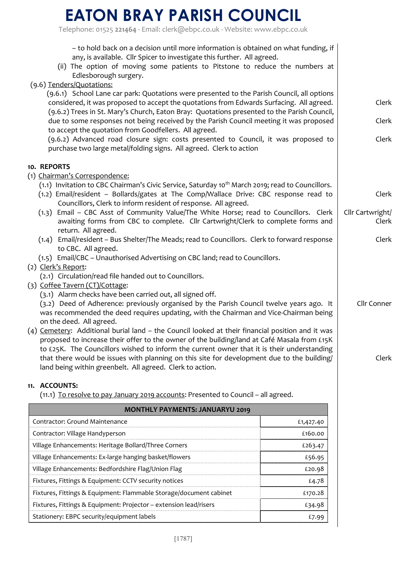Telephone: 01525 **221464** - Email: clerk@ebpc.co.uk - Website: www.ebpc.co.uk

| - to hold back on a decision until more information is obtained on what funding, if<br>any, is available. Cllr Spicer to investigate this further. All agreed.<br>(ii) The option of moving some patients to Pitstone to reduce the numbers at<br>Edlesborough surgery.               |                  |  |  |
|---------------------------------------------------------------------------------------------------------------------------------------------------------------------------------------------------------------------------------------------------------------------------------------|------------------|--|--|
| (9.6) Tenders/Quotations:                                                                                                                                                                                                                                                             |                  |  |  |
| (9.6.1) School Lane car park: Quotations were presented to the Parish Council, all options<br>considered, it was proposed to accept the quotations from Edwards Surfacing. All agreed.<br>(9.6.2) Trees in St. Mary's Church, Eaton Bray: Quotations presented to the Parish Council, | Clerk            |  |  |
| due to some responses not being received by the Parish Council meeting it was proposed<br>to accept the quotation from Goodfellers. All agreed.                                                                                                                                       | Clerk            |  |  |
| (9.6.2) Advanced road closure sign: costs presented to Council, it was proposed to<br>purchase two large metal/folding signs. All agreed. Clerk to action                                                                                                                             | Clerk            |  |  |
| 10. REPORTS                                                                                                                                                                                                                                                                           |                  |  |  |
| (1) Chairman's Correspondence:                                                                                                                                                                                                                                                        |                  |  |  |
| (1.1) Invitation to CBC Chairman's Civic Service, Saturday 10 <sup>th</sup> March 2019; read to Councillors.<br>(1.2) Email/resident - Bollards/gates at The Comp/Wallace Drive: CBC response read to                                                                                 | Clerk            |  |  |
| Councillors, Clerk to inform resident of response. All agreed.<br>(1.3) Email - CBC Asst of Community Value/The White Horse; read to Councillors. Clerk                                                                                                                               | Cllr Cartwright/ |  |  |
| awaiting forms from CBC to complete. Cllr Cartwright/Clerk to complete forms and<br>return. All agreed.                                                                                                                                                                               | Clerk            |  |  |
| (1.4) Email/resident - Bus Shelter/The Meads; read to Councillors. Clerk to forward response<br>to CBC. All agreed.                                                                                                                                                                   | Clerk            |  |  |
| (1.5) Email/CBC - Unauthorised Advertising on CBC land; read to Councillors.                                                                                                                                                                                                          |                  |  |  |
| (2) Clerk's Report:                                                                                                                                                                                                                                                                   |                  |  |  |
| (2.1) Circulation/read file handed out to Councillors.<br>(3) Coffee Tavern (CT)/Cottage:                                                                                                                                                                                             |                  |  |  |
| (3.1) Alarm checks have been carried out, all signed off.                                                                                                                                                                                                                             |                  |  |  |
| (3.2) Deed of Adherence: previously organised by the Parish Council twelve years ago. It<br>Cllr Conner<br>was recommended the deed requires updating, with the Chairman and Vice-Chairman being                                                                                      |                  |  |  |
| on the deed. All agreed.<br>(4) Cemetery: Additional burial land - the Council looked at their financial position and it was                                                                                                                                                          |                  |  |  |
| proposed to increase their offer to the owner of the building/land at Café Masala from £15K                                                                                                                                                                                           |                  |  |  |
| to £25K. The Councillors wished to inform the current owner that it is their understanding                                                                                                                                                                                            |                  |  |  |
| that there would be issues with planning on this site for development due to the building/<br>land being within greenbelt. All agreed. Clerk to action.                                                                                                                               | Clerk            |  |  |
|                                                                                                                                                                                                                                                                                       |                  |  |  |
| 11. ACCOUNTS:<br>(11.1) To resolve to pay January 2019 accounts: Presented to Council - all agreed.                                                                                                                                                                                   |                  |  |  |
| <b>MONTHLY PAYMENTS: JANUARYU 2019</b>                                                                                                                                                                                                                                                |                  |  |  |
| Contractor: Ground Maintenance<br>£1,427.40                                                                                                                                                                                                                                           |                  |  |  |
| Contractor: Village Handyperson<br>£160.00                                                                                                                                                                                                                                            |                  |  |  |
| Village Enhancements: Heritage Bollard/Three Corners<br>£263.47                                                                                                                                                                                                                       |                  |  |  |
| Village Enhancements: Ex-large hanging basket/flowers<br>£56.95                                                                                                                                                                                                                       |                  |  |  |
| Village Enhancements: Bedfordshire Flag/Union Flag<br>£20.98                                                                                                                                                                                                                          |                  |  |  |
| Fixtures, Fittings & Equipment: CCTV security notices<br>£4.78                                                                                                                                                                                                                        |                  |  |  |
| Fixtures, Fittings & Equipment: Flammable Storage/document cabinet<br>£170.28                                                                                                                                                                                                         |                  |  |  |
| Fixtures, Fittings & Equipment: Projector - extension lead/risers<br>£34.98                                                                                                                                                                                                           |                  |  |  |
| Stationery: EBPC security/equipment labels<br>£7.99                                                                                                                                                                                                                                   |                  |  |  |